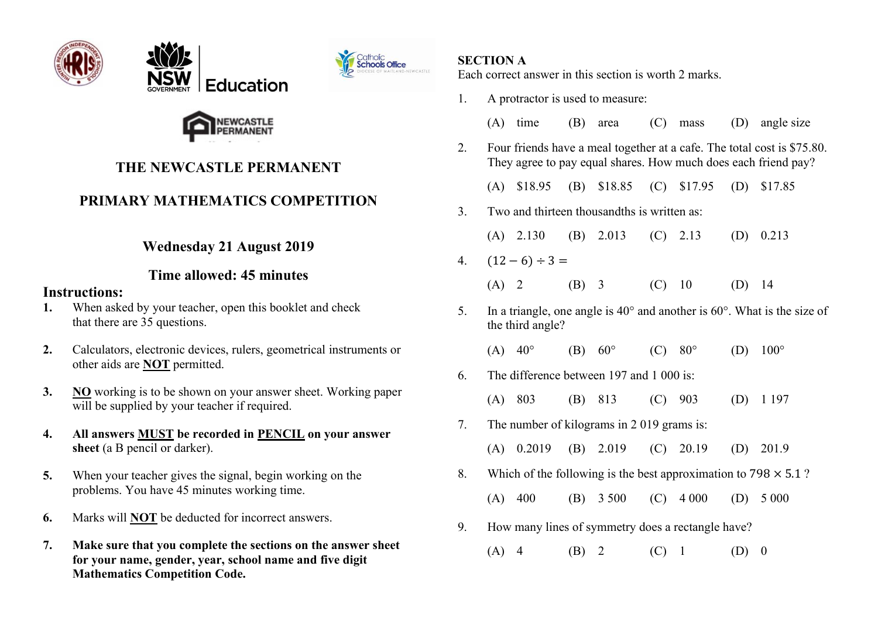





## **THE NEWCASTLE PERMANENT**

# **PRIMARY MATHEMATICS COMPETITION**

### **Wednesday 21 August 2019**

#### **Time allowed: 45 minutes**

#### **Instructions:**

- **1.** When asked by your teacher, open this booklet and check that there are 35 questions.
- **2.** Calculators, electronic devices, rulers, geometrical instruments or other aids are **NOT** permitted.
- **3. NO** working is to be shown on your answer sheet. Working paper will be supplied by your teacher if required.
- **4. All answers MUST be recorded in PENCIL on your answer sheet** (a B pencil or darker).
- **5.** When your teacher gives the signal, begin working on the problems. You have 45 minutes working time.
- **6.** Marks will **NOT** be deducted for incorrect answers.
- **7. Make sure that you complete the sections on the answer sheet for your name, gender, year, school name and five digit Mathematics Competition Code.**

#### **SECTION A**

Each correct answer in this section is worth 2 marks.

1. A protractor is used to measure: (A) time (B) area (C) mass (D) angle size 2. Four friends have a meal together at a cafe. The total cost is \$75.80. They agree to pay equal shares. How much does each friend pay? (A) \$18.95 (B) \$18.85 (C) \$17.95 (D) \$17.85 3. Two and thirteen thousandths is written as: (A) 2.130 (B) 2.013 (C) 2.13 (D) 0.213 4.  $(12-6) \div 3 =$ (A) 2 (B) 3 (C) 10 (D) 14 5. In a triangle, one angle is  $40^{\circ}$  and another is  $60^{\circ}$ . What is the size of the third angle? (A)  $40^{\circ}$  (B)  $60^{\circ}$  (C)  $80^{\circ}$  (D)  $100^{\circ}$ 6. The difference between 197 and 1 000 is: (A) 803 (B) 813 (C) 903 (D) 1 197 7. The number of kilograms in 2 019 grams is: (A) 0.2019 (B) 2.019 (C) 20.19 (D) 201.9 8. Which of the following is the best approximation to  $798 \times 5.1$ ? (A) 400 (B) 3 500 (C) 4 000 (D) 5 000 9. How many lines of symmetry does a rectangle have? (A) 4 (B) 2 (C) 1 (D) 0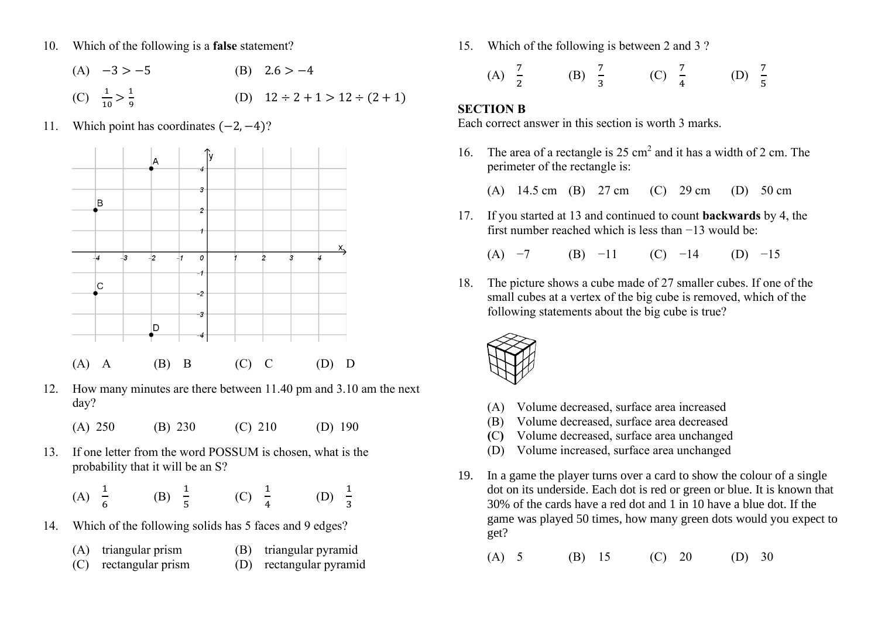- 10. Which of the following is a **false** statement?
	- (A)  $-3 > -5$  (B)  $2.6 > -4$ (C)  $\frac{1}{10} > \frac{1}{9}$ 9 (D)  $12 \div 2 + 1 > 12 \div (2 + 1)$
- 11. Which point has coordinates (−2, −4)?



- 12. How many minutes are there between 11.40 pm and 3.10 am the next day?
	- (A) 250 (B) 230 (C) 210 (D) 190
- 13. If one letter from the word POSSUM is chosen, what is the probability that it will be an S?

| (A) $\frac{1}{6}$ | (B) $\frac{1}{5}$ | (C) $\frac{1}{4}$ | (D) $\frac{1}{3}$ |  |
|-------------------|-------------------|-------------------|-------------------|--|
|-------------------|-------------------|-------------------|-------------------|--|

- 14. Which of the following solids has 5 faces and 9 edges?
	- (A) triangular prism (B) triangular pyramid
	- (C) rectangular prism (D) rectangular pyramid

15. Which of the following is between 2 and 3 ?

(A) 
$$
\frac{7}{2}
$$
 (B)  $\frac{7}{3}$  (C)  $\frac{7}{4}$  (D)  $\frac{7}{5}$ 

#### **SECTION B**

Each correct answer in this section is worth 3 marks.

- 16. The area of a rectangle is 25 cm<sup>2</sup> and it has a width of 2 cm. The perimeter of the rectangle is:
	- (A) 14.5 cm (B) 27 cm (C) 29 cm (D) 50 cm
- 17. If you started at 13 and continued to count **backwards** by 4, the first number reached which is less than −13 would be:
	- (A)  $-7$  (B)  $-11$  (C)  $-14$  (D)  $-15$
- 18. The picture shows a cube made of 27 smaller cubes. If one of the small cubes at a vertex of the big cube is removed, which of the following statements about the big cube is true?



- (A) Volume decreased, surface area increased
- (B) Volume decreased, surface area decreased
- **(**C**)** Volume decreased, surface area unchanged
- (D) Volume increased, surface area unchanged
- 19. In a game the player turns over a card to show the colour of a single dot on its underside. Each dot is red or green or blue. It is known that 30% of the cards have a red dot and 1 in 10 have a blue dot. If the game was played 50 times, how many green dots would you expect to get?
	- (A) 5 (B) 15 (C) 20 (D) 30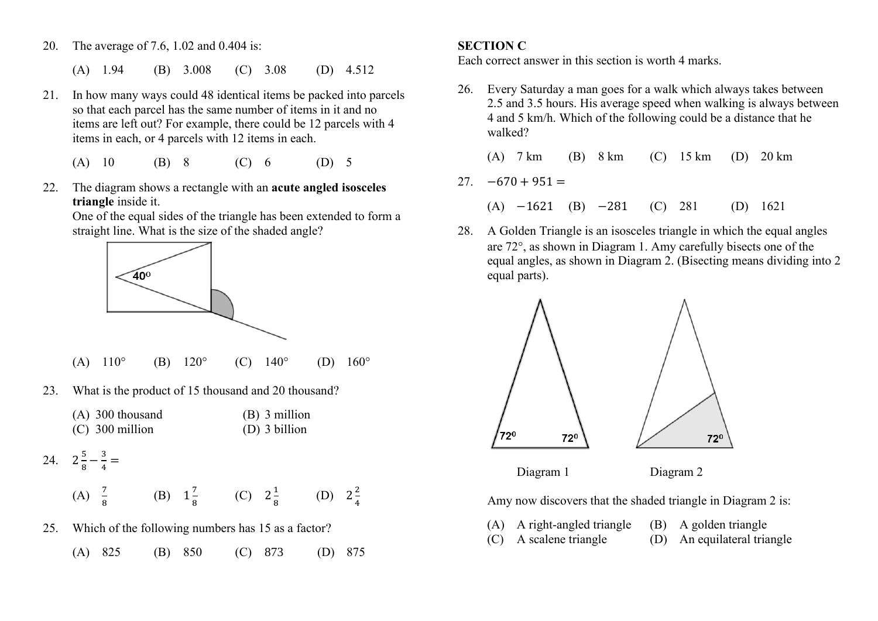- 20. The average of 7.6, 1.02 and 0.404 is:
	- (A) 1.94 (B) 3.008 (C) 3.08 (D) 4.512
- 21. In how many ways could 48 identical items be packed into parcels so that each parcel has the same number of items in it and no items are left out? For example, there could be 12 parcels with 4 items in each, or 4 parcels with 12 items in each.
	- (A) 10 (B) 8 (C) 6 (D) 5
- 22. The diagram shows a rectangle with an **acute angled isosceles triangle** inside it.

One of the equal sides of the triangle has been extended to form a straight line. What is the size of the shaded angle?



- (A)  $110^{\circ}$  (B)  $120^{\circ}$  (C)  $140^{\circ}$  (D)  $160^{\circ}$
- 23. What is the product of 15 thousand and 20 thousand?
	- (A) 300 thousand (B) 3 million (C) 300 million (D) 3 billion

24. 
$$
2\frac{5}{8} - \frac{3}{4} =
$$

(A)  $\frac{7}{8}$  (B)  $1\frac{7}{8}$  $\frac{7}{8}$  (C)  $2\frac{1}{8}$  $rac{1}{8}$  (D)  $2\frac{2}{4}$ 4

- 25. Which of the following numbers has 15 as a factor?
	- (A) 825 (B) 850 (C) 873 (D) 875

#### **SECTION C**

Each correct answer in this section is worth 4 marks.

- 26. Every Saturday a man goes for a walk which always takes between 2.5 and 3.5 hours. His average speed when walking is always between 4 and 5 km/h. Which of the following could be a distance that he walked?
	- (A) 7 km (B) 8 km (C) 15 km (D) 20 km
- $27. -670 + 951 =$ 
	- (A) −1621 (B) −281 (C) 281 (D) 1621
- 28. A Golden Triangle is an isosceles triangle in which the equal angles are 72°, as shown in Diagram 1. Amy carefully bisects one of the equal angles, as shown in Diagram 2. (Bisecting means dividing into 2 equal parts).



Diagram 1 Diagram 2

Amy now discovers that the shaded triangle in Diagram 2 is:

- (A) A right-angled triangle (B) A golden triangle (C) A scalene triangle (D) An equilateral triangle
	-